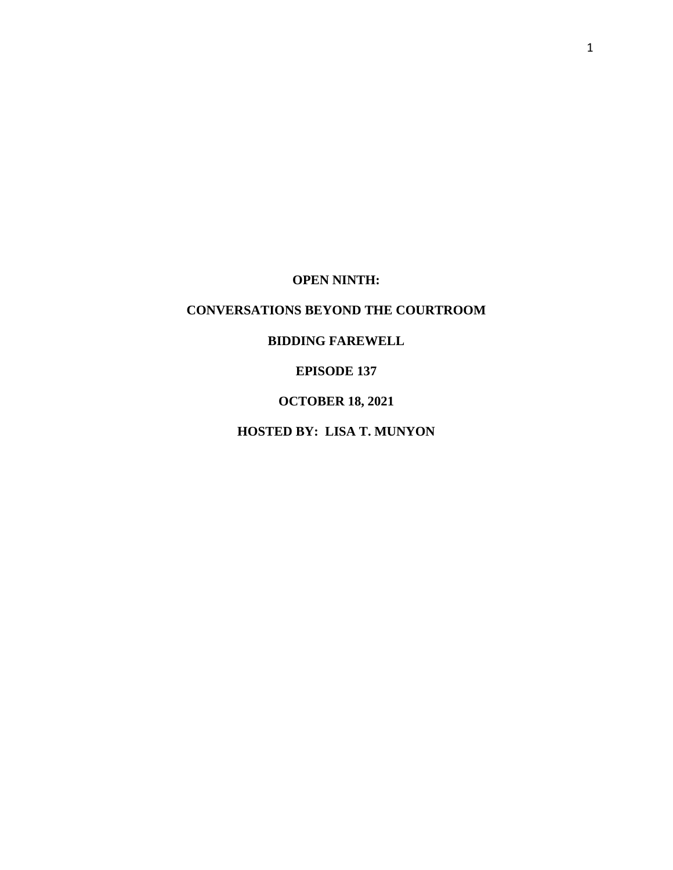**OPEN NINTH:**

# **CONVERSATIONS BEYOND THE COURTROOM**

# **BIDDING FAREWELL**

# **EPISODE 137**

# **OCTOBER 18, 2021**

# **HOSTED BY: LISA T. MUNYON**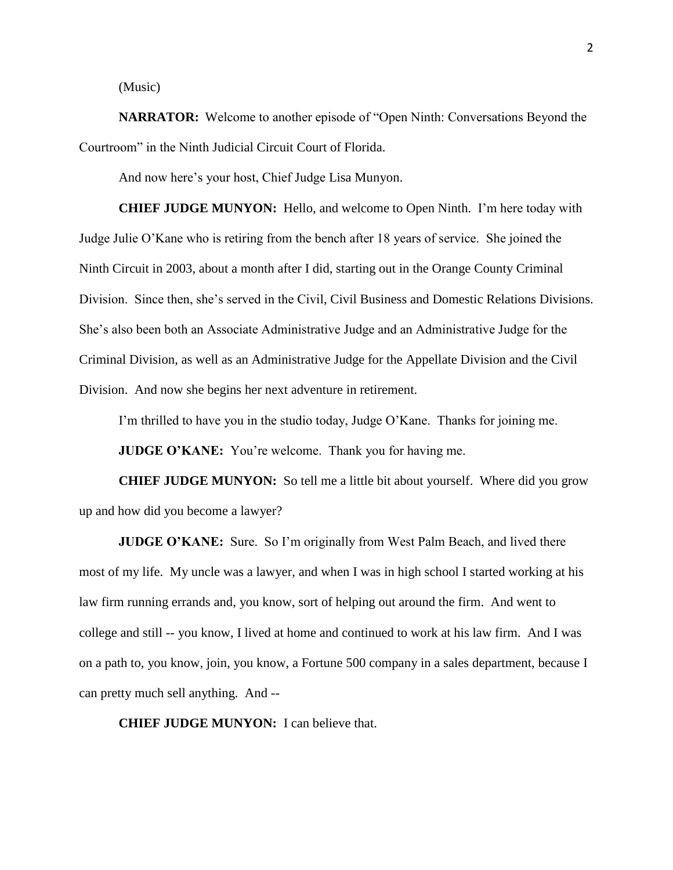(Music)

**NARRATOR:** Welcome to another episode of "Open Ninth: Conversations Beyond the Courtroom" in the Ninth Judicial Circuit Court of Florida.

And now here's your host, Chief Judge Lisa Munyon.

**CHIEF JUDGE MUNYON:** Hello, and welcome to Open Ninth. I'm here today with Judge Julie O'Kane who is retiring from the bench after 18 years of service. She joined the Ninth Circuit in 2003, about a month after I did, starting out in the Orange County Criminal Division. Since then, she's served in the Civil, Civil Business and Domestic Relations Divisions. She's also been both an Associate Administrative Judge and an Administrative Judge for the Criminal Division, as well as an Administrative Judge for the Appellate Division and the Civil Division. And now she begins her next adventure in retirement.

I'm thrilled to have you in the studio today, Judge O'Kane. Thanks for joining me.

**JUDGE O'KANE:** You're welcome. Thank you for having me.

**CHIEF JUDGE MUNYON:** So tell me a little bit about yourself. Where did you grow up and how did you become a lawyer?

**JUDGE O'KANE:** Sure. So I'm originally from West Palm Beach, and lived there most of my life. My uncle was a lawyer, and when I was in high school I started working at his law firm running errands and, you know, sort of helping out around the firm. And went to college and still -- you know, I lived at home and continued to work at his law firm. And I was on a path to, you know, join, you know, a Fortune 500 company in a sales department, because I can pretty much sell anything. And --

**CHIEF JUDGE MUNYON:** I can believe that.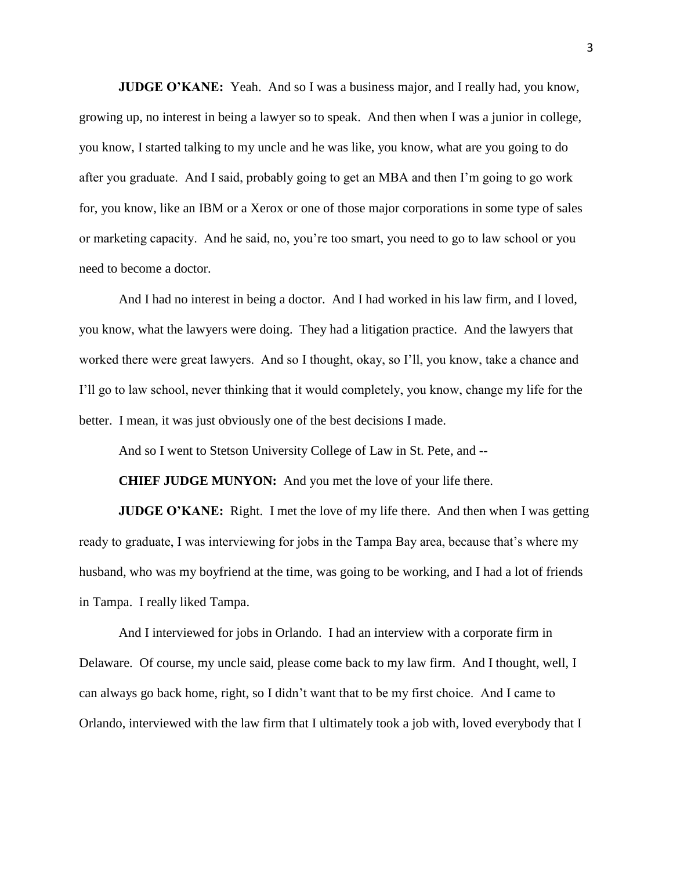**JUDGE O'KANE:** Yeah. And so I was a business major, and I really had, you know, growing up, no interest in being a lawyer so to speak. And then when I was a junior in college, you know, I started talking to my uncle and he was like, you know, what are you going to do after you graduate. And I said, probably going to get an MBA and then I'm going to go work for, you know, like an IBM or a Xerox or one of those major corporations in some type of sales or marketing capacity. And he said, no, you're too smart, you need to go to law school or you need to become a doctor.

And I had no interest in being a doctor. And I had worked in his law firm, and I loved, you know, what the lawyers were doing. They had a litigation practice. And the lawyers that worked there were great lawyers. And so I thought, okay, so I'll, you know, take a chance and I'll go to law school, never thinking that it would completely, you know, change my life for the better. I mean, it was just obviously one of the best decisions I made.

And so I went to Stetson University College of Law in St. Pete, and --

**CHIEF JUDGE MUNYON:** And you met the love of your life there.

**JUDGE O'KANE:** Right. I met the love of my life there. And then when I was getting ready to graduate, I was interviewing for jobs in the Tampa Bay area, because that's where my husband, who was my boyfriend at the time, was going to be working, and I had a lot of friends in Tampa. I really liked Tampa.

And I interviewed for jobs in Orlando. I had an interview with a corporate firm in Delaware. Of course, my uncle said, please come back to my law firm. And I thought, well, I can always go back home, right, so I didn't want that to be my first choice. And I came to Orlando, interviewed with the law firm that I ultimately took a job with, loved everybody that I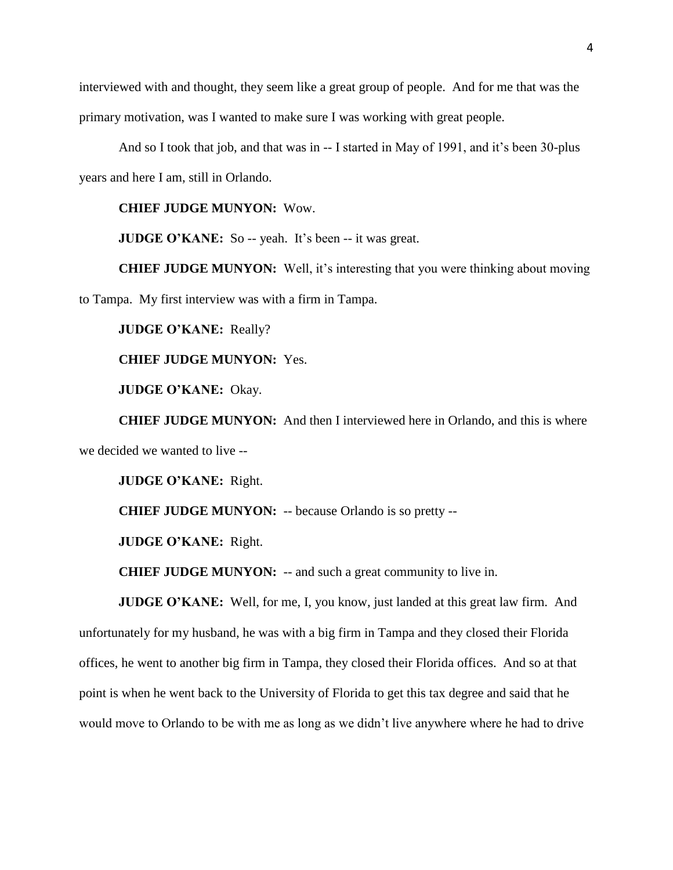interviewed with and thought, they seem like a great group of people. And for me that was the primary motivation, was I wanted to make sure I was working with great people.

And so I took that job, and that was in -- I started in May of 1991, and it's been 30-plus years and here I am, still in Orlando.

# **CHIEF JUDGE MUNYON:** Wow.

**JUDGE O'KANE:** So -- yeah. It's been -- it was great.

**CHIEF JUDGE MUNYON:** Well, it's interesting that you were thinking about moving to Tampa. My first interview was with a firm in Tampa.

**JUDGE O'KANE:** Really?

#### **CHIEF JUDGE MUNYON:** Yes.

**JUDGE O'KANE:** Okay.

**CHIEF JUDGE MUNYON:** And then I interviewed here in Orlando, and this is where we decided we wanted to live --

**JUDGE O'KANE:** Right.

**CHIEF JUDGE MUNYON:** -- because Orlando is so pretty --

**JUDGE O'KANE:** Right.

**CHIEF JUDGE MUNYON:** -- and such a great community to live in.

**JUDGE O'KANE:** Well, for me, I, you know, just landed at this great law firm. And unfortunately for my husband, he was with a big firm in Tampa and they closed their Florida offices, he went to another big firm in Tampa, they closed their Florida offices. And so at that point is when he went back to the University of Florida to get this tax degree and said that he would move to Orlando to be with me as long as we didn't live anywhere where he had to drive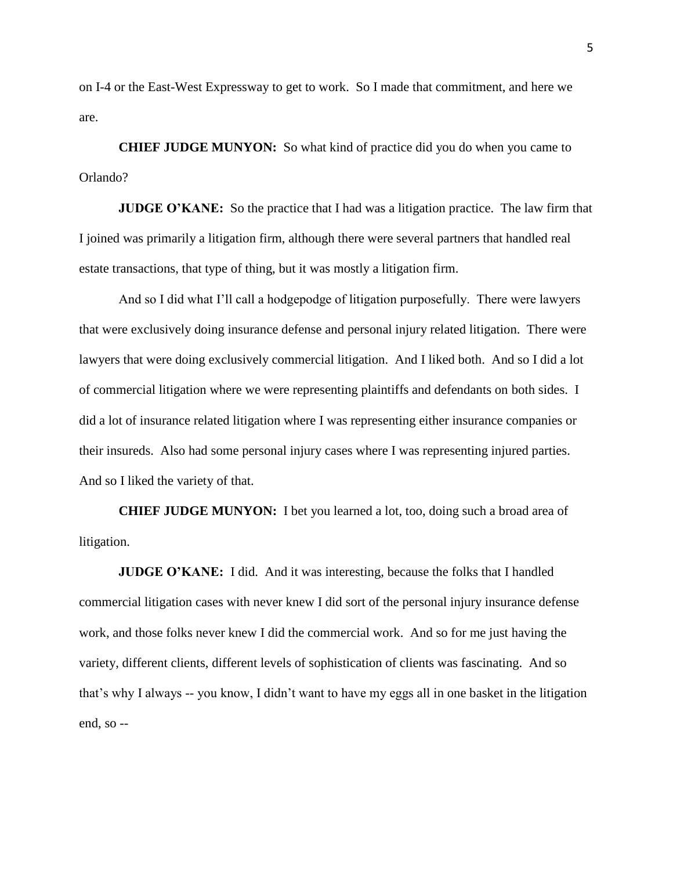on I-4 or the East-West Expressway to get to work. So I made that commitment, and here we are.

**CHIEF JUDGE MUNYON:** So what kind of practice did you do when you came to Orlando?

**JUDGE O'KANE:** So the practice that I had was a litigation practice. The law firm that I joined was primarily a litigation firm, although there were several partners that handled real estate transactions, that type of thing, but it was mostly a litigation firm.

And so I did what I'll call a hodgepodge of litigation purposefully. There were lawyers that were exclusively doing insurance defense and personal injury related litigation. There were lawyers that were doing exclusively commercial litigation. And I liked both. And so I did a lot of commercial litigation where we were representing plaintiffs and defendants on both sides. I did a lot of insurance related litigation where I was representing either insurance companies or their insureds. Also had some personal injury cases where I was representing injured parties. And so I liked the variety of that.

**CHIEF JUDGE MUNYON:** I bet you learned a lot, too, doing such a broad area of litigation.

**JUDGE O'KANE:** I did. And it was interesting, because the folks that I handled commercial litigation cases with never knew I did sort of the personal injury insurance defense work, and those folks never knew I did the commercial work. And so for me just having the variety, different clients, different levels of sophistication of clients was fascinating. And so that's why I always -- you know, I didn't want to have my eggs all in one basket in the litigation end, so --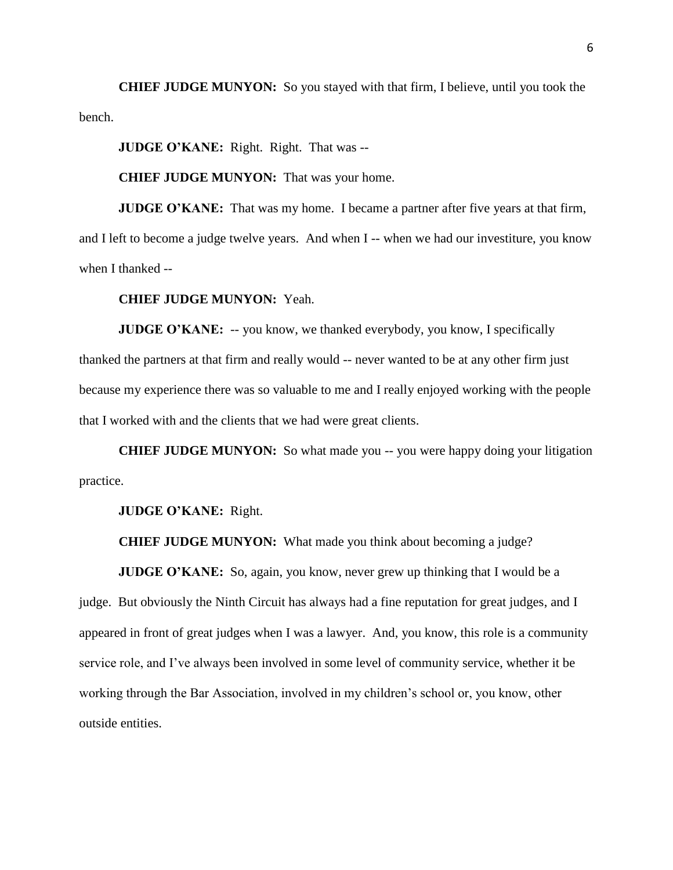**CHIEF JUDGE MUNYON:** So you stayed with that firm, I believe, until you took the bench.

**JUDGE O'KANE:** Right. Right. That was --

**CHIEF JUDGE MUNYON:** That was your home.

**JUDGE O'KANE:** That was my home. I became a partner after five years at that firm, and I left to become a judge twelve years. And when I -- when we had our investiture, you know when I thanked --

#### **CHIEF JUDGE MUNYON:** Yeah.

**JUDGE O'KANE:** -- you know, we thanked everybody, you know, I specifically thanked the partners at that firm and really would -- never wanted to be at any other firm just because my experience there was so valuable to me and I really enjoyed working with the people that I worked with and the clients that we had were great clients.

**CHIEF JUDGE MUNYON:** So what made you -- you were happy doing your litigation practice.

**JUDGE O'KANE:** Right.

**CHIEF JUDGE MUNYON:** What made you think about becoming a judge?

**JUDGE O'KANE:** So, again, you know, never grew up thinking that I would be a judge. But obviously the Ninth Circuit has always had a fine reputation for great judges, and I appeared in front of great judges when I was a lawyer. And, you know, this role is a community service role, and I've always been involved in some level of community service, whether it be working through the Bar Association, involved in my children's school or, you know, other outside entities.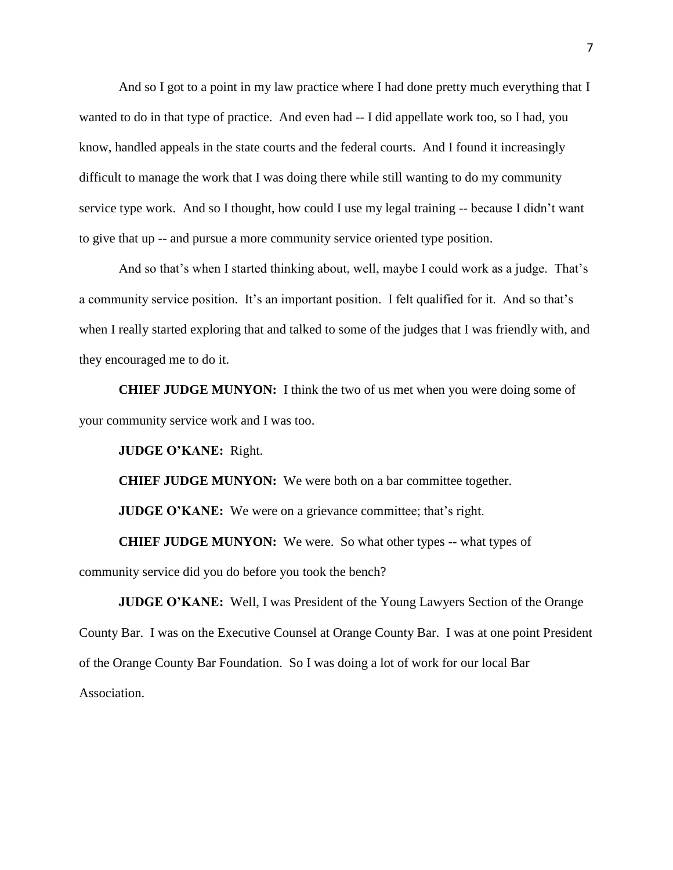And so I got to a point in my law practice where I had done pretty much everything that I wanted to do in that type of practice. And even had -- I did appellate work too, so I had, you know, handled appeals in the state courts and the federal courts. And I found it increasingly difficult to manage the work that I was doing there while still wanting to do my community service type work. And so I thought, how could I use my legal training -- because I didn't want to give that up -- and pursue a more community service oriented type position.

And so that's when I started thinking about, well, maybe I could work as a judge. That's a community service position. It's an important position. I felt qualified for it. And so that's when I really started exploring that and talked to some of the judges that I was friendly with, and they encouraged me to do it.

**CHIEF JUDGE MUNYON:** I think the two of us met when you were doing some of your community service work and I was too.

**JUDGE O'KANE:** Right.

**CHIEF JUDGE MUNYON:** We were both on a bar committee together.

**JUDGE O'KANE:** We were on a grievance committee; that's right.

**CHIEF JUDGE MUNYON:** We were. So what other types -- what types of community service did you do before you took the bench?

**JUDGE O'KANE:** Well, I was President of the Young Lawyers Section of the Orange County Bar. I was on the Executive Counsel at Orange County Bar. I was at one point President of the Orange County Bar Foundation. So I was doing a lot of work for our local Bar Association.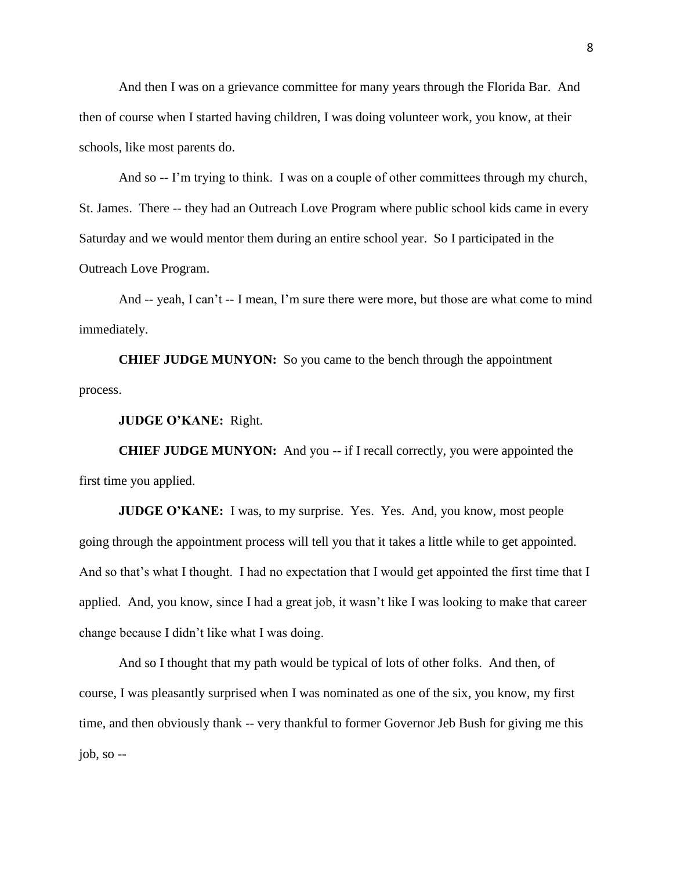And then I was on a grievance committee for many years through the Florida Bar. And then of course when I started having children, I was doing volunteer work, you know, at their schools, like most parents do.

And so -- I'm trying to think. I was on a couple of other committees through my church, St. James. There -- they had an Outreach Love Program where public school kids came in every Saturday and we would mentor them during an entire school year. So I participated in the Outreach Love Program.

And -- yeah, I can't -- I mean, I'm sure there were more, but those are what come to mind immediately.

**CHIEF JUDGE MUNYON:** So you came to the bench through the appointment process.

**JUDGE O'KANE:** Right.

**CHIEF JUDGE MUNYON:** And you -- if I recall correctly, you were appointed the first time you applied.

**JUDGE O'KANE:** I was, to my surprise. Yes. Yes. And, you know, most people going through the appointment process will tell you that it takes a little while to get appointed. And so that's what I thought. I had no expectation that I would get appointed the first time that I applied. And, you know, since I had a great job, it wasn't like I was looking to make that career change because I didn't like what I was doing.

And so I thought that my path would be typical of lots of other folks. And then, of course, I was pleasantly surprised when I was nominated as one of the six, you know, my first time, and then obviously thank -- very thankful to former Governor Jeb Bush for giving me this job, so --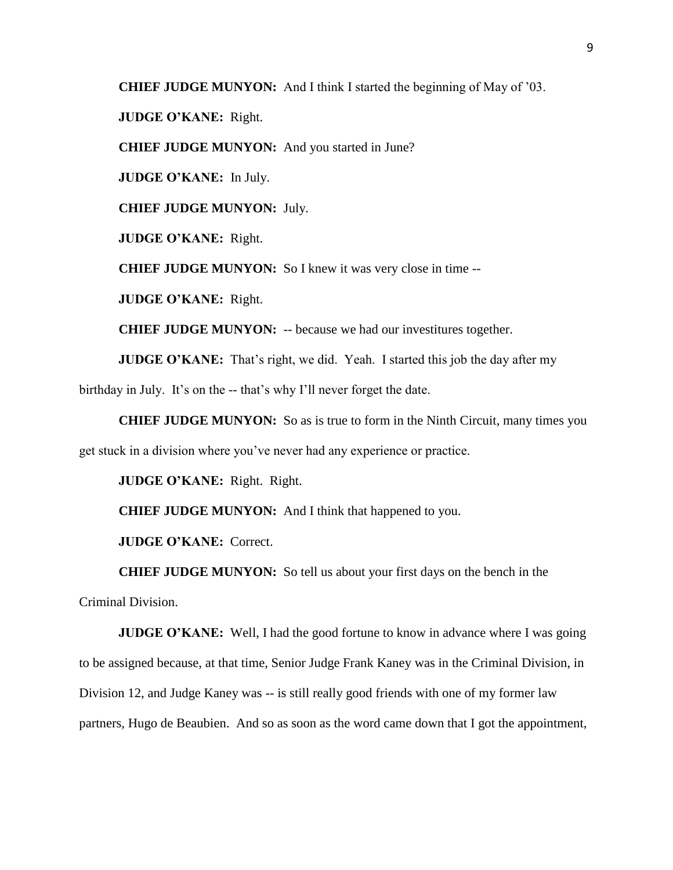**CHIEF JUDGE MUNYON:** And I think I started the beginning of May of '03.

**JUDGE O'KANE:** Right.

**CHIEF JUDGE MUNYON:** And you started in June?

**JUDGE O'KANE:** In July.

**CHIEF JUDGE MUNYON:** July.

**JUDGE O'KANE:** Right.

**CHIEF JUDGE MUNYON:** So I knew it was very close in time --

**JUDGE O'KANE:** Right.

**CHIEF JUDGE MUNYON:** -- because we had our investitures together.

**JUDGE O'KANE:** That's right, we did. Yeah. I started this job the day after my

birthday in July. It's on the -- that's why I'll never forget the date.

**CHIEF JUDGE MUNYON:** So as is true to form in the Ninth Circuit, many times you

get stuck in a division where you've never had any experience or practice.

**JUDGE O'KANE:** Right. Right.

**CHIEF JUDGE MUNYON:** And I think that happened to you.

**JUDGE O'KANE:** Correct.

**CHIEF JUDGE MUNYON:** So tell us about your first days on the bench in the

Criminal Division.

**JUDGE O'KANE:** Well, I had the good fortune to know in advance where I was going to be assigned because, at that time, Senior Judge Frank Kaney was in the Criminal Division, in Division 12, and Judge Kaney was -- is still really good friends with one of my former law partners, Hugo de Beaubien. And so as soon as the word came down that I got the appointment,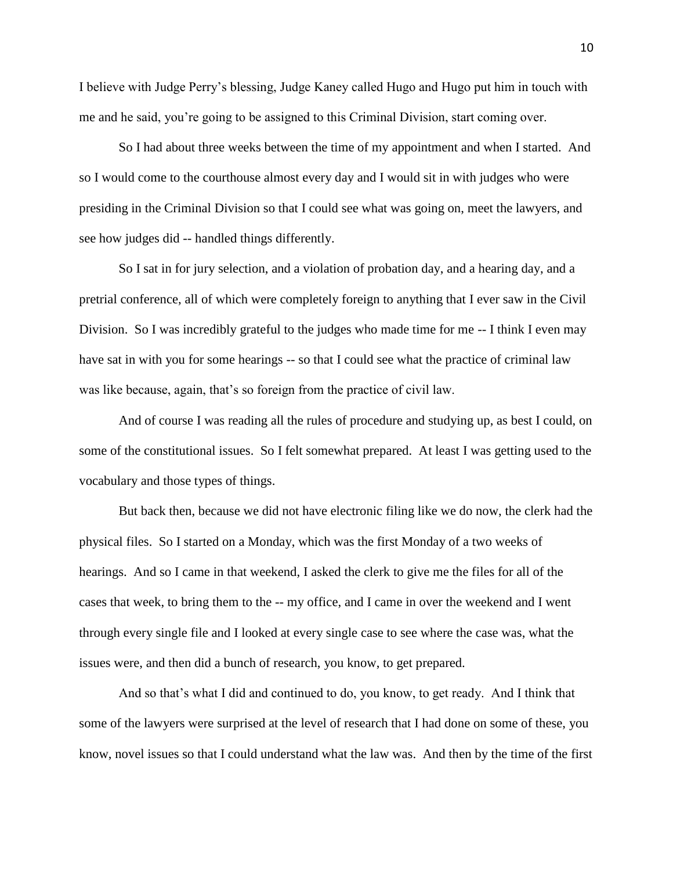I believe with Judge Perry's blessing, Judge Kaney called Hugo and Hugo put him in touch with me and he said, you're going to be assigned to this Criminal Division, start coming over.

So I had about three weeks between the time of my appointment and when I started. And so I would come to the courthouse almost every day and I would sit in with judges who were presiding in the Criminal Division so that I could see what was going on, meet the lawyers, and see how judges did -- handled things differently.

So I sat in for jury selection, and a violation of probation day, and a hearing day, and a pretrial conference, all of which were completely foreign to anything that I ever saw in the Civil Division. So I was incredibly grateful to the judges who made time for me -- I think I even may have sat in with you for some hearings -- so that I could see what the practice of criminal law was like because, again, that's so foreign from the practice of civil law.

And of course I was reading all the rules of procedure and studying up, as best I could, on some of the constitutional issues. So I felt somewhat prepared. At least I was getting used to the vocabulary and those types of things.

But back then, because we did not have electronic filing like we do now, the clerk had the physical files. So I started on a Monday, which was the first Monday of a two weeks of hearings. And so I came in that weekend, I asked the clerk to give me the files for all of the cases that week, to bring them to the -- my office, and I came in over the weekend and I went through every single file and I looked at every single case to see where the case was, what the issues were, and then did a bunch of research, you know, to get prepared.

And so that's what I did and continued to do, you know, to get ready. And I think that some of the lawyers were surprised at the level of research that I had done on some of these, you know, novel issues so that I could understand what the law was. And then by the time of the first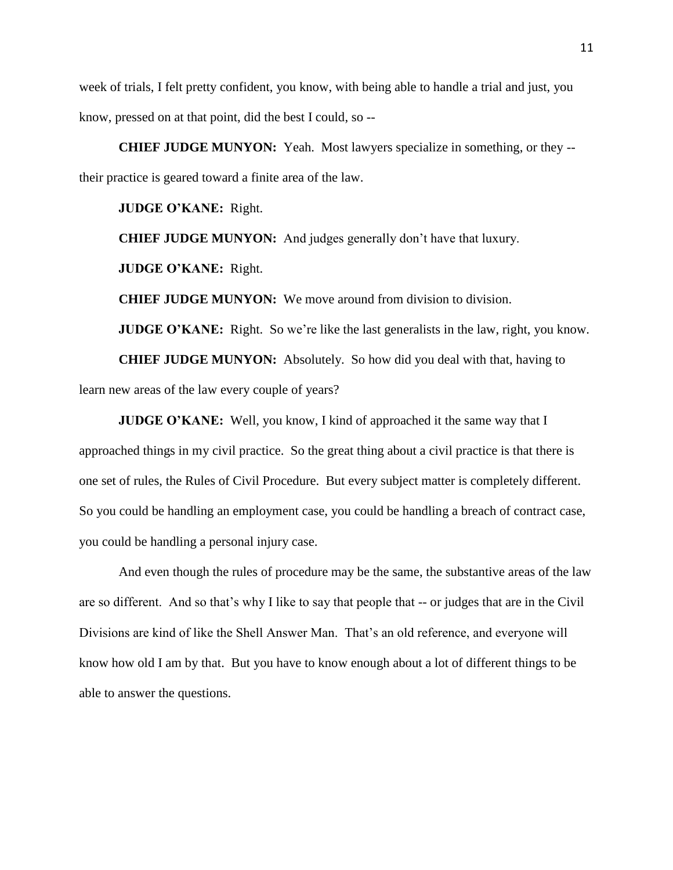week of trials, I felt pretty confident, you know, with being able to handle a trial and just, you know, pressed on at that point, did the best I could, so --

**CHIEF JUDGE MUNYON:** Yeah. Most lawyers specialize in something, or they - their practice is geared toward a finite area of the law.

**JUDGE O'KANE:** Right.

**CHIEF JUDGE MUNYON:** And judges generally don't have that luxury.

**JUDGE O'KANE:** Right.

**CHIEF JUDGE MUNYON:** We move around from division to division.

**JUDGE O'KANE:** Right. So we're like the last generalists in the law, right, you know.

**CHIEF JUDGE MUNYON:** Absolutely. So how did you deal with that, having to

learn new areas of the law every couple of years?

**JUDGE O'KANE:** Well, you know, I kind of approached it the same way that I approached things in my civil practice. So the great thing about a civil practice is that there is one set of rules, the Rules of Civil Procedure. But every subject matter is completely different. So you could be handling an employment case, you could be handling a breach of contract case, you could be handling a personal injury case.

And even though the rules of procedure may be the same, the substantive areas of the law are so different. And so that's why I like to say that people that -- or judges that are in the Civil Divisions are kind of like the Shell Answer Man. That's an old reference, and everyone will know how old I am by that. But you have to know enough about a lot of different things to be able to answer the questions.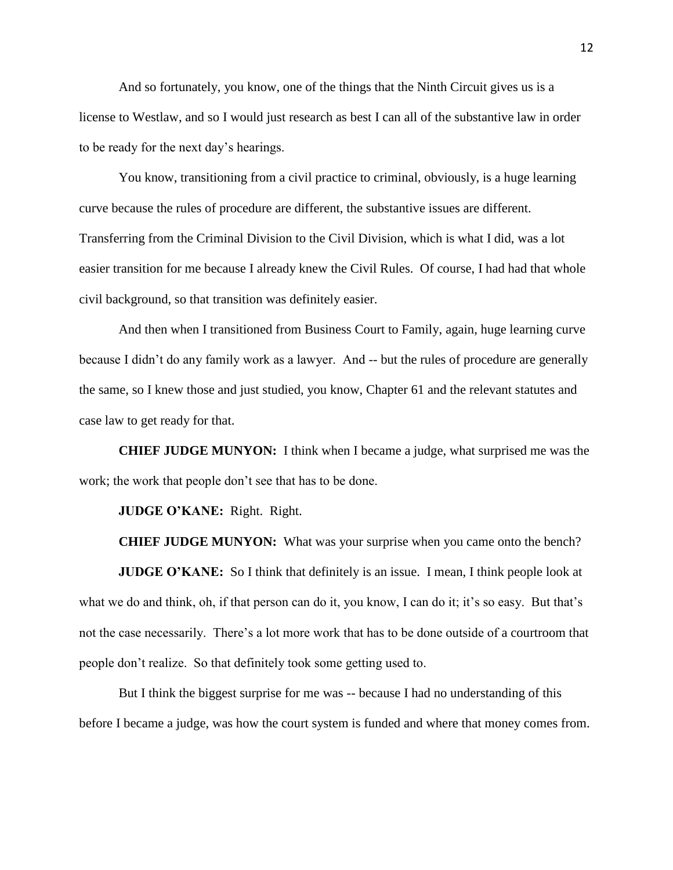And so fortunately, you know, one of the things that the Ninth Circuit gives us is a license to Westlaw, and so I would just research as best I can all of the substantive law in order to be ready for the next day's hearings.

You know, transitioning from a civil practice to criminal, obviously, is a huge learning curve because the rules of procedure are different, the substantive issues are different. Transferring from the Criminal Division to the Civil Division, which is what I did, was a lot easier transition for me because I already knew the Civil Rules. Of course, I had had that whole civil background, so that transition was definitely easier.

And then when I transitioned from Business Court to Family, again, huge learning curve because I didn't do any family work as a lawyer. And -- but the rules of procedure are generally the same, so I knew those and just studied, you know, Chapter 61 and the relevant statutes and case law to get ready for that.

**CHIEF JUDGE MUNYON:** I think when I became a judge, what surprised me was the work; the work that people don't see that has to be done.

**JUDGE O'KANE:** Right. Right.

**CHIEF JUDGE MUNYON:** What was your surprise when you came onto the bench?

**JUDGE O'KANE:** So I think that definitely is an issue. I mean, I think people look at what we do and think, oh, if that person can do it, you know, I can do it; it's so easy. But that's not the case necessarily. There's a lot more work that has to be done outside of a courtroom that people don't realize. So that definitely took some getting used to.

But I think the biggest surprise for me was -- because I had no understanding of this before I became a judge, was how the court system is funded and where that money comes from.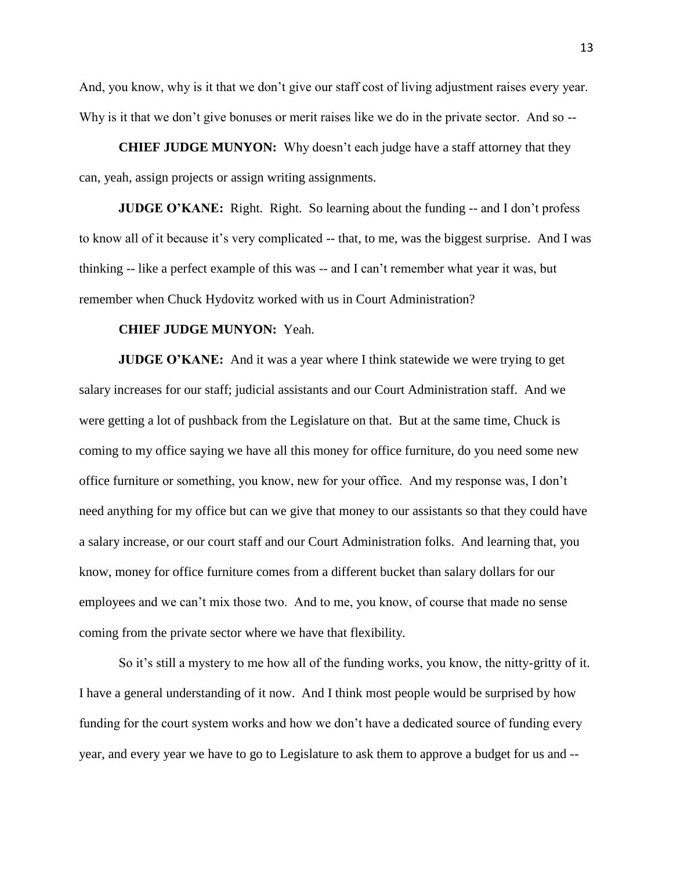And, you know, why is it that we don't give our staff cost of living adjustment raises every year. Why is it that we don't give bonuses or merit raises like we do in the private sector. And so --

**CHIEF JUDGE MUNYON:** Why doesn't each judge have a staff attorney that they can, yeah, assign projects or assign writing assignments.

**JUDGE O'KANE:** Right. Right. So learning about the funding -- and I don't profess to know all of it because it's very complicated -- that, to me, was the biggest surprise. And I was thinking -- like a perfect example of this was -- and I can't remember what year it was, but remember when Chuck Hydovitz worked with us in Court Administration?

#### **CHIEF JUDGE MUNYON:** Yeah.

**JUDGE O'KANE:** And it was a year where I think statewide we were trying to get salary increases for our staff; judicial assistants and our Court Administration staff. And we were getting a lot of pushback from the Legislature on that. But at the same time, Chuck is coming to my office saying we have all this money for office furniture, do you need some new office furniture or something, you know, new for your office. And my response was, I don't need anything for my office but can we give that money to our assistants so that they could have a salary increase, or our court staff and our Court Administration folks. And learning that, you know, money for office furniture comes from a different bucket than salary dollars for our employees and we can't mix those two. And to me, you know, of course that made no sense coming from the private sector where we have that flexibility.

So it's still a mystery to me how all of the funding works, you know, the nitty-gritty of it. I have a general understanding of it now. And I think most people would be surprised by how funding for the court system works and how we don't have a dedicated source of funding every year, and every year we have to go to Legislature to ask them to approve a budget for us and --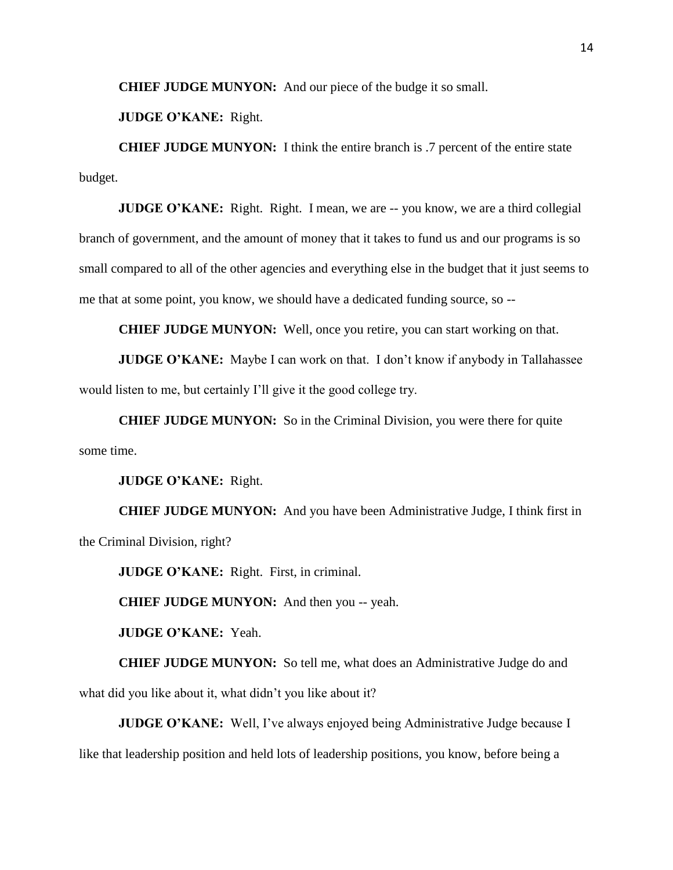**CHIEF JUDGE MUNYON:** And our piece of the budge it so small.

**JUDGE O'KANE:** Right.

**CHIEF JUDGE MUNYON:** I think the entire branch is .7 percent of the entire state budget.

**JUDGE O'KANE:** Right. Right. I mean, we are -- you know, we are a third collegial branch of government, and the amount of money that it takes to fund us and our programs is so small compared to all of the other agencies and everything else in the budget that it just seems to me that at some point, you know, we should have a dedicated funding source, so --

**CHIEF JUDGE MUNYON:** Well, once you retire, you can start working on that.

**JUDGE O'KANE:** Maybe I can work on that. I don't know if anybody in Tallahassee would listen to me, but certainly I'll give it the good college try.

**CHIEF JUDGE MUNYON:** So in the Criminal Division, you were there for quite some time.

**JUDGE O'KANE:** Right.

**CHIEF JUDGE MUNYON:** And you have been Administrative Judge, I think first in the Criminal Division, right?

**JUDGE O'KANE:** Right. First, in criminal.

**CHIEF JUDGE MUNYON:** And then you -- yeah.

**JUDGE O'KANE:** Yeah.

**CHIEF JUDGE MUNYON:** So tell me, what does an Administrative Judge do and what did you like about it, what didn't you like about it?

**JUDGE O'KANE:** Well, I've always enjoyed being Administrative Judge because I like that leadership position and held lots of leadership positions, you know, before being a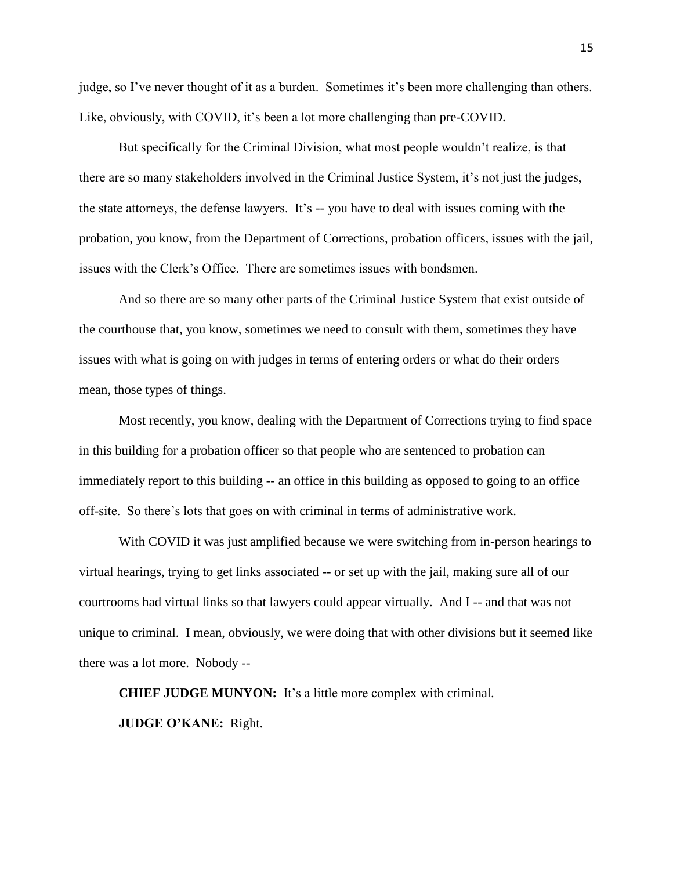judge, so I've never thought of it as a burden. Sometimes it's been more challenging than others. Like, obviously, with COVID, it's been a lot more challenging than pre-COVID.

But specifically for the Criminal Division, what most people wouldn't realize, is that there are so many stakeholders involved in the Criminal Justice System, it's not just the judges, the state attorneys, the defense lawyers. It's -- you have to deal with issues coming with the probation, you know, from the Department of Corrections, probation officers, issues with the jail, issues with the Clerk's Office. There are sometimes issues with bondsmen.

And so there are so many other parts of the Criminal Justice System that exist outside of the courthouse that, you know, sometimes we need to consult with them, sometimes they have issues with what is going on with judges in terms of entering orders or what do their orders mean, those types of things.

Most recently, you know, dealing with the Department of Corrections trying to find space in this building for a probation officer so that people who are sentenced to probation can immediately report to this building -- an office in this building as opposed to going to an office off-site. So there's lots that goes on with criminal in terms of administrative work.

With COVID it was just amplified because we were switching from in-person hearings to virtual hearings, trying to get links associated -- or set up with the jail, making sure all of our courtrooms had virtual links so that lawyers could appear virtually. And I -- and that was not unique to criminal. I mean, obviously, we were doing that with other divisions but it seemed like there was a lot more. Nobody --

**CHIEF JUDGE MUNYON:** It's a little more complex with criminal.

**JUDGE O'KANE:** Right.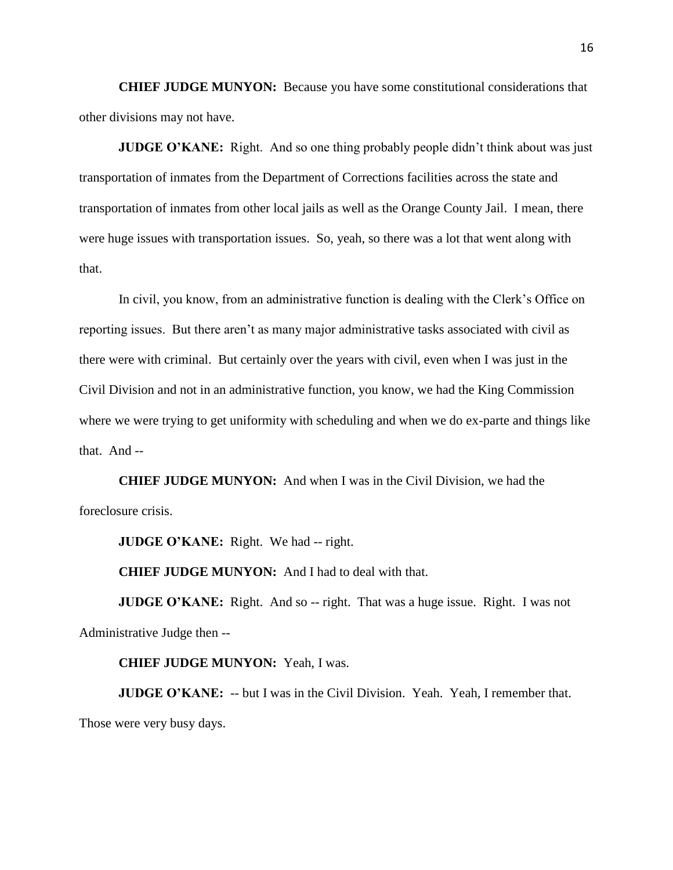**CHIEF JUDGE MUNYON:** Because you have some constitutional considerations that other divisions may not have.

**JUDGE O'KANE:** Right. And so one thing probably people didn't think about was just transportation of inmates from the Department of Corrections facilities across the state and transportation of inmates from other local jails as well as the Orange County Jail. I mean, there were huge issues with transportation issues. So, yeah, so there was a lot that went along with that.

In civil, you know, from an administrative function is dealing with the Clerk's Office on reporting issues. But there aren't as many major administrative tasks associated with civil as there were with criminal. But certainly over the years with civil, even when I was just in the Civil Division and not in an administrative function, you know, we had the King Commission where we were trying to get uniformity with scheduling and when we do ex-parte and things like that. And --

**CHIEF JUDGE MUNYON:** And when I was in the Civil Division, we had the foreclosure crisis.

**JUDGE O'KANE:** Right. We had -- right.

**CHIEF JUDGE MUNYON:** And I had to deal with that.

**JUDGE O'KANE:** Right. And so -- right. That was a huge issue. Right. I was not Administrative Judge then --

#### **CHIEF JUDGE MUNYON:** Yeah, I was.

**JUDGE O'KANE:** -- but I was in the Civil Division. Yeah. Yeah, I remember that. Those were very busy days.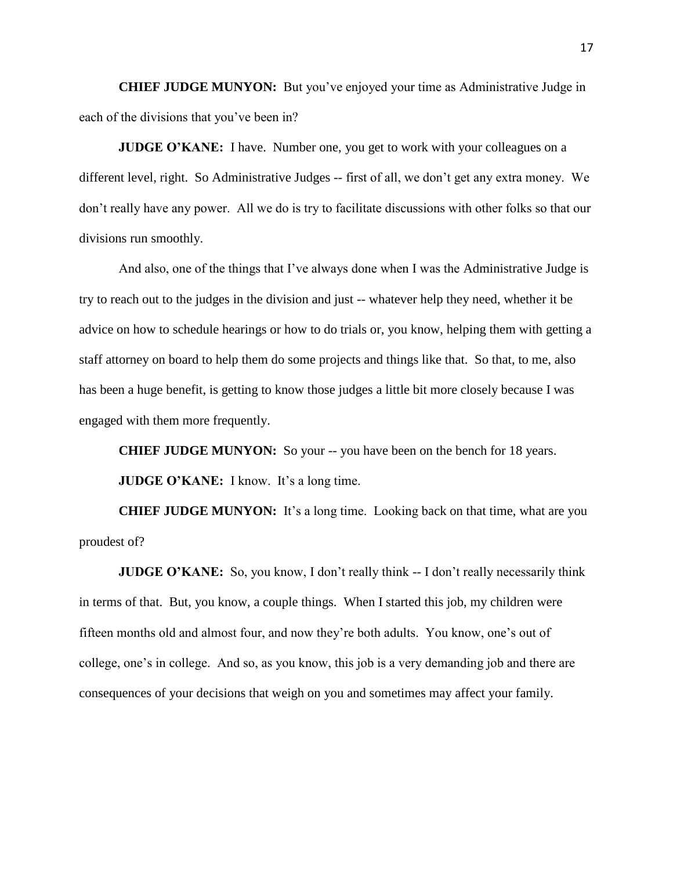**CHIEF JUDGE MUNYON:** But you've enjoyed your time as Administrative Judge in each of the divisions that you've been in?

**JUDGE O'KANE:** I have. Number one, you get to work with your colleagues on a different level, right. So Administrative Judges -- first of all, we don't get any extra money. We don't really have any power. All we do is try to facilitate discussions with other folks so that our divisions run smoothly.

And also, one of the things that I've always done when I was the Administrative Judge is try to reach out to the judges in the division and just -- whatever help they need, whether it be advice on how to schedule hearings or how to do trials or, you know, helping them with getting a staff attorney on board to help them do some projects and things like that. So that, to me, also has been a huge benefit, is getting to know those judges a little bit more closely because I was engaged with them more frequently.

**CHIEF JUDGE MUNYON:** So your -- you have been on the bench for 18 years. **JUDGE O'KANE:** I know. It's a long time.

**CHIEF JUDGE MUNYON:** It's a long time. Looking back on that time, what are you proudest of?

**JUDGE O'KANE:** So, you know, I don't really think -- I don't really necessarily think in terms of that. But, you know, a couple things. When I started this job, my children were fifteen months old and almost four, and now they're both adults. You know, one's out of college, one's in college. And so, as you know, this job is a very demanding job and there are consequences of your decisions that weigh on you and sometimes may affect your family.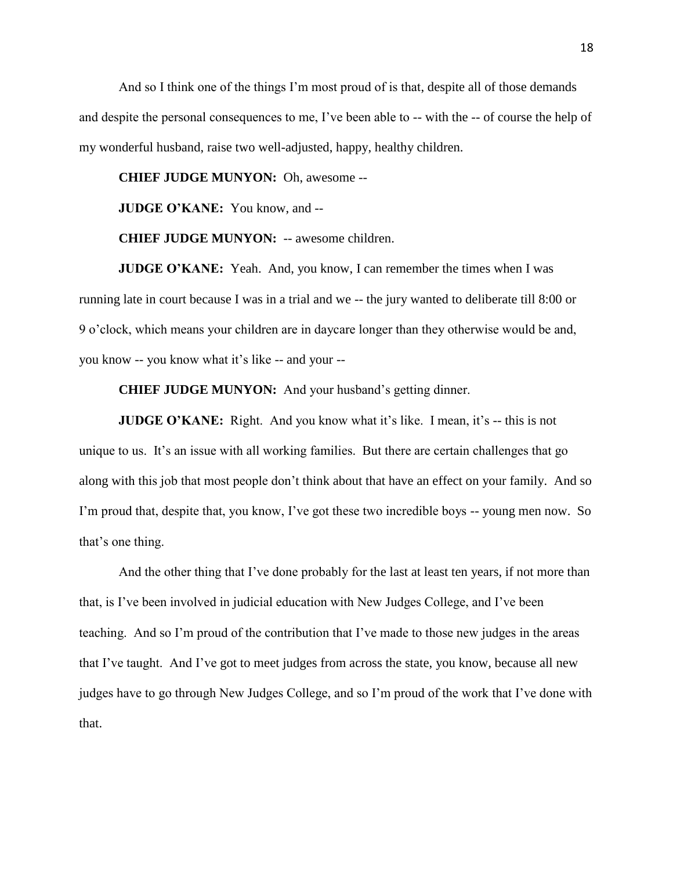And so I think one of the things I'm most proud of is that, despite all of those demands and despite the personal consequences to me, I've been able to -- with the -- of course the help of my wonderful husband, raise two well-adjusted, happy, healthy children.

**CHIEF JUDGE MUNYON:** Oh, awesome --

**JUDGE O'KANE:** You know, and --

**CHIEF JUDGE MUNYON:** -- awesome children.

**JUDGE O'KANE:** Yeah. And, you know, I can remember the times when I was running late in court because I was in a trial and we -- the jury wanted to deliberate till 8:00 or 9 o'clock, which means your children are in daycare longer than they otherwise would be and, you know -- you know what it's like -- and your --

**CHIEF JUDGE MUNYON:** And your husband's getting dinner.

**JUDGE O'KANE:** Right. And you know what it's like. I mean, it's -- this is not unique to us. It's an issue with all working families. But there are certain challenges that go along with this job that most people don't think about that have an effect on your family. And so I'm proud that, despite that, you know, I've got these two incredible boys -- young men now. So that's one thing.

And the other thing that I've done probably for the last at least ten years, if not more than that, is I've been involved in judicial education with New Judges College, and I've been teaching. And so I'm proud of the contribution that I've made to those new judges in the areas that I've taught. And I've got to meet judges from across the state, you know, because all new judges have to go through New Judges College, and so I'm proud of the work that I've done with that.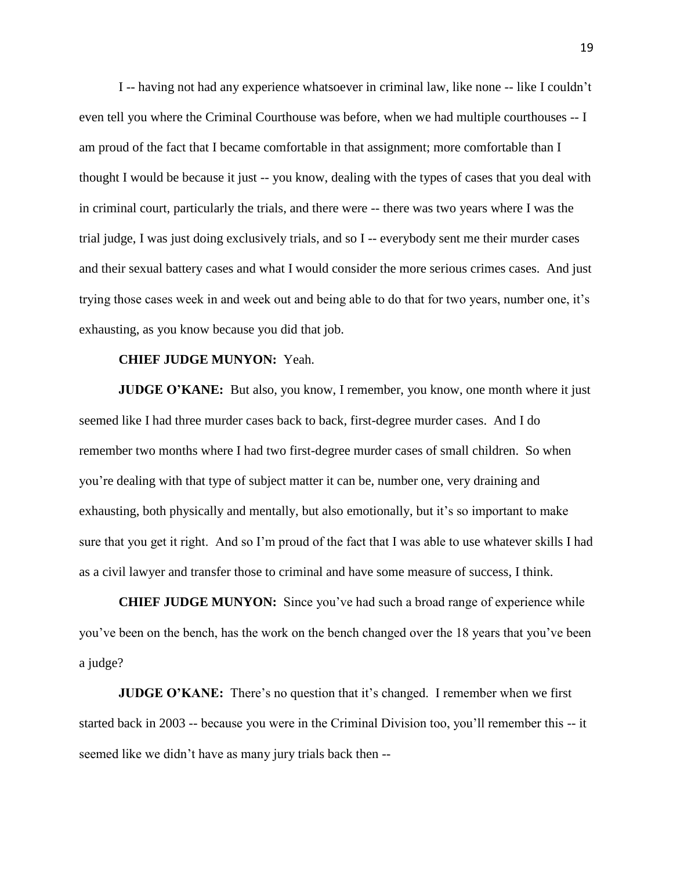I -- having not had any experience whatsoever in criminal law, like none -- like I couldn't even tell you where the Criminal Courthouse was before, when we had multiple courthouses -- I am proud of the fact that I became comfortable in that assignment; more comfortable than I thought I would be because it just -- you know, dealing with the types of cases that you deal with in criminal court, particularly the trials, and there were -- there was two years where I was the trial judge, I was just doing exclusively trials, and so I -- everybody sent me their murder cases and their sexual battery cases and what I would consider the more serious crimes cases. And just trying those cases week in and week out and being able to do that for two years, number one, it's exhausting, as you know because you did that job.

#### **CHIEF JUDGE MUNYON:** Yeah.

**JUDGE O'KANE:** But also, you know, I remember, you know, one month where it just seemed like I had three murder cases back to back, first-degree murder cases. And I do remember two months where I had two first-degree murder cases of small children. So when you're dealing with that type of subject matter it can be, number one, very draining and exhausting, both physically and mentally, but also emotionally, but it's so important to make sure that you get it right. And so I'm proud of the fact that I was able to use whatever skills I had as a civil lawyer and transfer those to criminal and have some measure of success, I think.

**CHIEF JUDGE MUNYON:** Since you've had such a broad range of experience while you've been on the bench, has the work on the bench changed over the 18 years that you've been a judge?

**JUDGE O'KANE:** There's no question that it's changed. I remember when we first started back in 2003 -- because you were in the Criminal Division too, you'll remember this -- it seemed like we didn't have as many jury trials back then --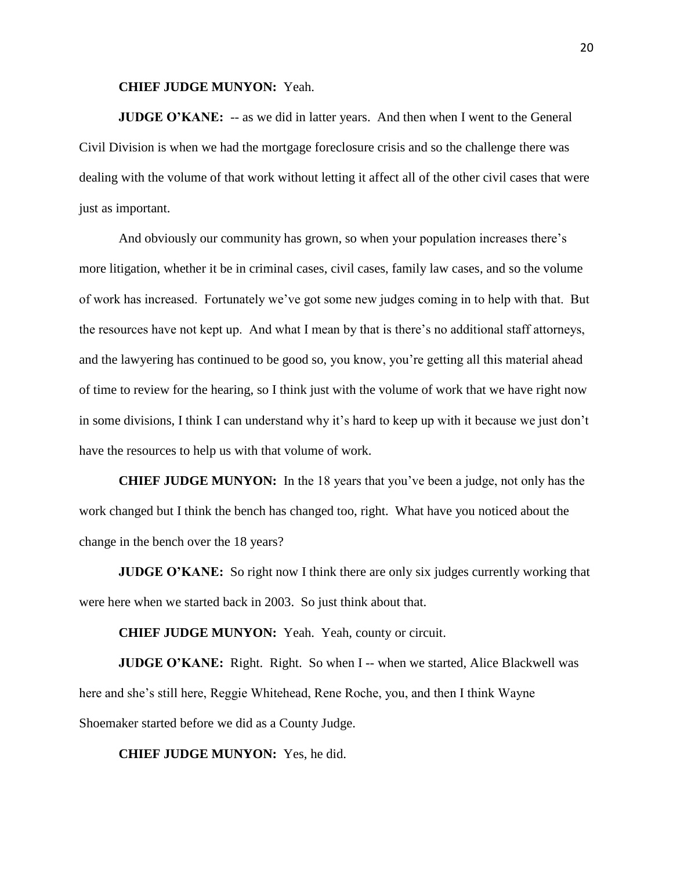**CHIEF JUDGE MUNYON:** Yeah.

**JUDGE O'KANE:** -- as we did in latter years. And then when I went to the General Civil Division is when we had the mortgage foreclosure crisis and so the challenge there was dealing with the volume of that work without letting it affect all of the other civil cases that were just as important.

And obviously our community has grown, so when your population increases there's more litigation, whether it be in criminal cases, civil cases, family law cases, and so the volume of work has increased. Fortunately we've got some new judges coming in to help with that. But the resources have not kept up. And what I mean by that is there's no additional staff attorneys, and the lawyering has continued to be good so, you know, you're getting all this material ahead of time to review for the hearing, so I think just with the volume of work that we have right now in some divisions, I think I can understand why it's hard to keep up with it because we just don't have the resources to help us with that volume of work.

**CHIEF JUDGE MUNYON:** In the 18 years that you've been a judge, not only has the work changed but I think the bench has changed too, right. What have you noticed about the change in the bench over the 18 years?

**JUDGE O'KANE:** So right now I think there are only six judges currently working that were here when we started back in 2003. So just think about that.

**CHIEF JUDGE MUNYON:** Yeah. Yeah, county or circuit.

**JUDGE O'KANE:** Right. Right. So when I -- when we started, Alice Blackwell was here and she's still here, Reggie Whitehead, Rene Roche, you, and then I think Wayne Shoemaker started before we did as a County Judge.

**CHIEF JUDGE MUNYON:** Yes, he did.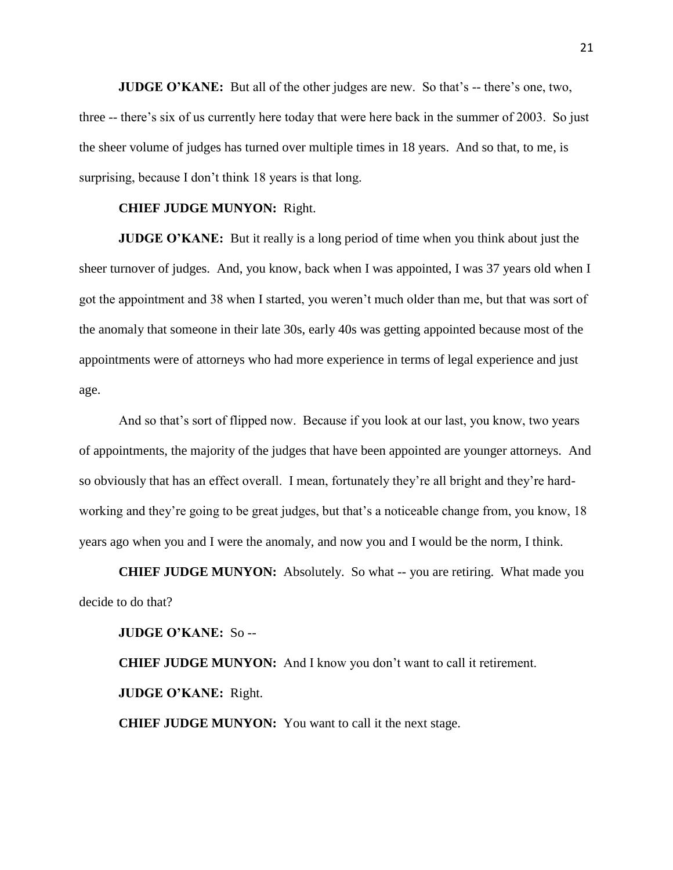**JUDGE O'KANE:** But all of the other judges are new. So that's -- there's one, two, three -- there's six of us currently here today that were here back in the summer of 2003. So just the sheer volume of judges has turned over multiple times in 18 years. And so that, to me, is surprising, because I don't think 18 years is that long.

### **CHIEF JUDGE MUNYON:** Right.

**JUDGE O'KANE:** But it really is a long period of time when you think about just the sheer turnover of judges. And, you know, back when I was appointed, I was 37 years old when I got the appointment and 38 when I started, you weren't much older than me, but that was sort of the anomaly that someone in their late 30s, early 40s was getting appointed because most of the appointments were of attorneys who had more experience in terms of legal experience and just age.

And so that's sort of flipped now. Because if you look at our last, you know, two years of appointments, the majority of the judges that have been appointed are younger attorneys. And so obviously that has an effect overall. I mean, fortunately they're all bright and they're hardworking and they're going to be great judges, but that's a noticeable change from, you know, 18 years ago when you and I were the anomaly, and now you and I would be the norm, I think.

**CHIEF JUDGE MUNYON:** Absolutely. So what -- you are retiring. What made you decide to do that?

**JUDGE O'KANE:** So --

**CHIEF JUDGE MUNYON:** And I know you don't want to call it retirement. **JUDGE O'KANE:** Right.

**CHIEF JUDGE MUNYON:** You want to call it the next stage.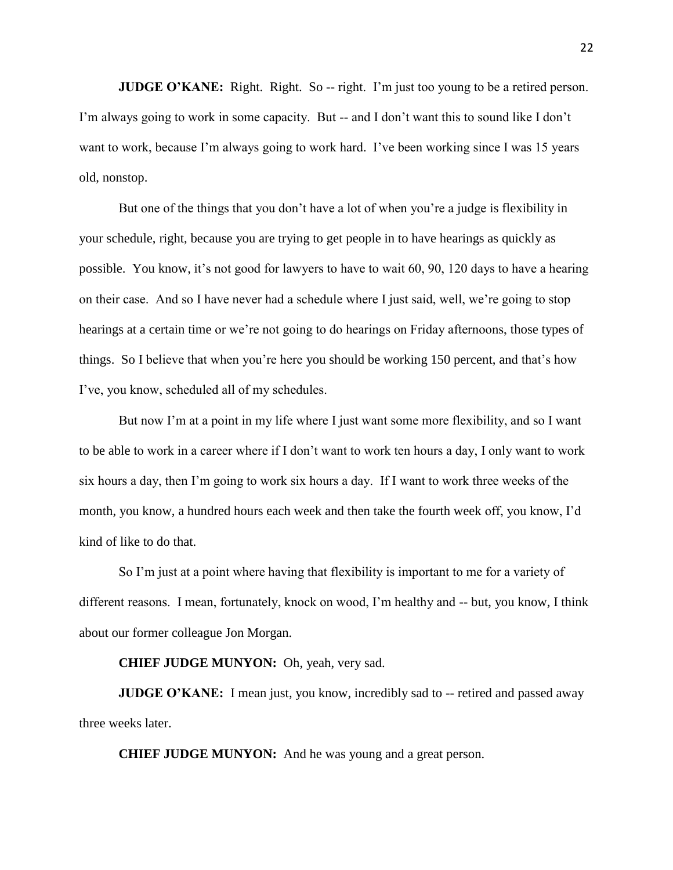**JUDGE O'KANE:** Right. Right. So -- right. I'm just too young to be a retired person. I'm always going to work in some capacity. But -- and I don't want this to sound like I don't want to work, because I'm always going to work hard. I've been working since I was 15 years old, nonstop.

But one of the things that you don't have a lot of when you're a judge is flexibility in your schedule, right, because you are trying to get people in to have hearings as quickly as possible. You know, it's not good for lawyers to have to wait 60, 90, 120 days to have a hearing on their case. And so I have never had a schedule where I just said, well, we're going to stop hearings at a certain time or we're not going to do hearings on Friday afternoons, those types of things. So I believe that when you're here you should be working 150 percent, and that's how I've, you know, scheduled all of my schedules.

But now I'm at a point in my life where I just want some more flexibility, and so I want to be able to work in a career where if I don't want to work ten hours a day, I only want to work six hours a day, then I'm going to work six hours a day. If I want to work three weeks of the month, you know, a hundred hours each week and then take the fourth week off, you know, I'd kind of like to do that.

So I'm just at a point where having that flexibility is important to me for a variety of different reasons. I mean, fortunately, knock on wood, I'm healthy and -- but, you know, I think about our former colleague Jon Morgan.

# **CHIEF JUDGE MUNYON:** Oh, yeah, very sad.

**JUDGE O'KANE:** I mean just, you know, incredibly sad to -- retired and passed away three weeks later.

**CHIEF JUDGE MUNYON:** And he was young and a great person.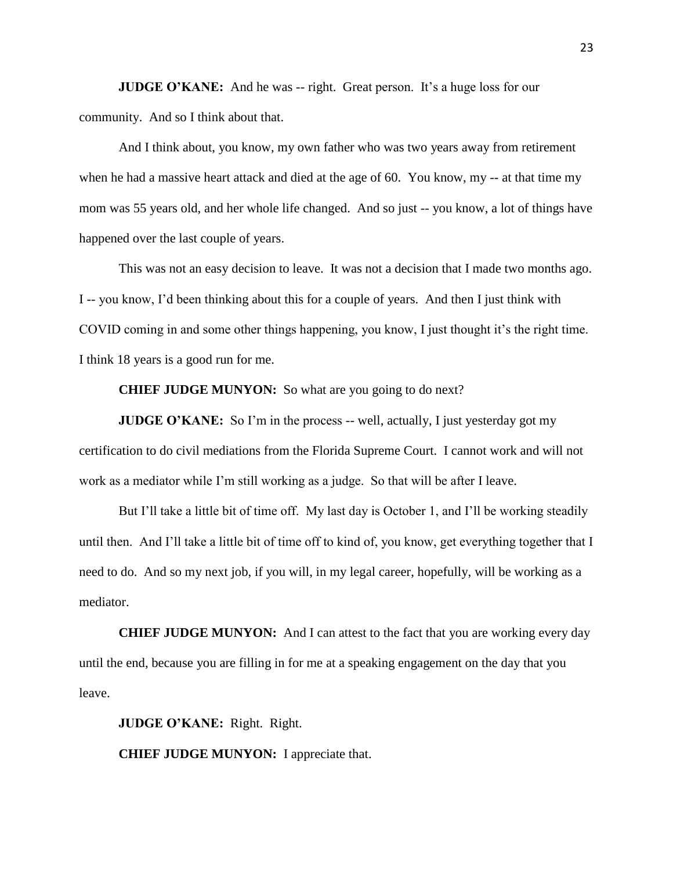**JUDGE O'KANE:** And he was -- right. Great person. It's a huge loss for our community. And so I think about that.

And I think about, you know, my own father who was two years away from retirement when he had a massive heart attack and died at the age of 60. You know, my -- at that time my mom was 55 years old, and her whole life changed. And so just -- you know, a lot of things have happened over the last couple of years.

This was not an easy decision to leave. It was not a decision that I made two months ago. I -- you know, I'd been thinking about this for a couple of years. And then I just think with COVID coming in and some other things happening, you know, I just thought it's the right time. I think 18 years is a good run for me.

**CHIEF JUDGE MUNYON:** So what are you going to do next?

**JUDGE O'KANE:** So I'm in the process -- well, actually, I just yesterday got my certification to do civil mediations from the Florida Supreme Court. I cannot work and will not work as a mediator while I'm still working as a judge. So that will be after I leave.

But I'll take a little bit of time off. My last day is October 1, and I'll be working steadily until then. And I'll take a little bit of time off to kind of, you know, get everything together that I need to do. And so my next job, if you will, in my legal career, hopefully, will be working as a mediator.

**CHIEF JUDGE MUNYON:** And I can attest to the fact that you are working every day until the end, because you are filling in for me at a speaking engagement on the day that you leave.

**JUDGE O'KANE:** Right. Right.

**CHIEF JUDGE MUNYON:** I appreciate that.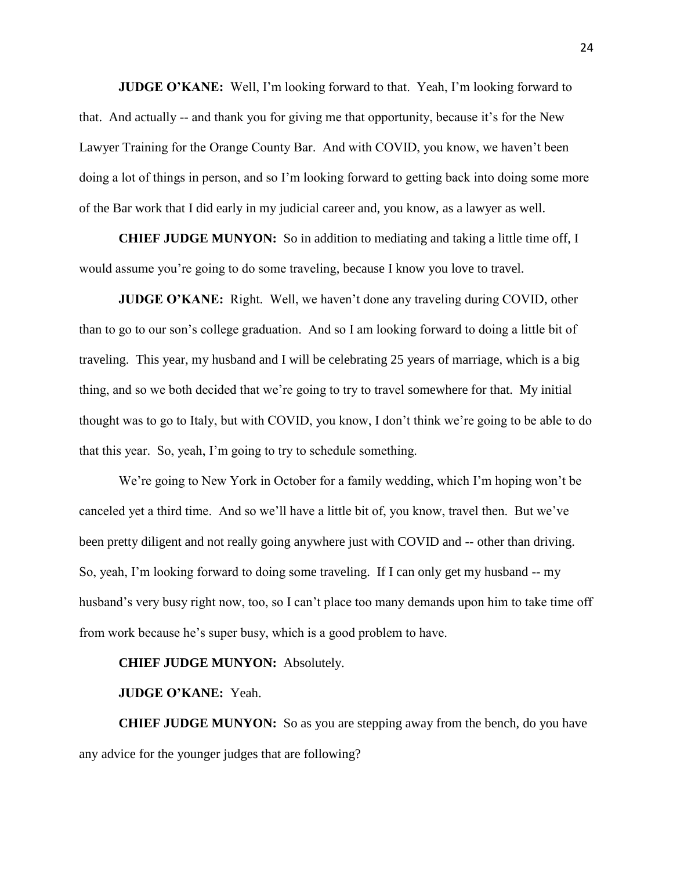**JUDGE O'KANE:** Well, I'm looking forward to that. Yeah, I'm looking forward to that. And actually -- and thank you for giving me that opportunity, because it's for the New Lawyer Training for the Orange County Bar. And with COVID, you know, we haven't been doing a lot of things in person, and so I'm looking forward to getting back into doing some more of the Bar work that I did early in my judicial career and, you know, as a lawyer as well.

**CHIEF JUDGE MUNYON:** So in addition to mediating and taking a little time off, I would assume you're going to do some traveling, because I know you love to travel.

**JUDGE O'KANE:** Right. Well, we haven't done any traveling during COVID, other than to go to our son's college graduation. And so I am looking forward to doing a little bit of traveling. This year, my husband and I will be celebrating 25 years of marriage, which is a big thing, and so we both decided that we're going to try to travel somewhere for that. My initial thought was to go to Italy, but with COVID, you know, I don't think we're going to be able to do that this year. So, yeah, I'm going to try to schedule something.

We're going to New York in October for a family wedding, which I'm hoping won't be canceled yet a third time. And so we'll have a little bit of, you know, travel then. But we've been pretty diligent and not really going anywhere just with COVID and -- other than driving. So, yeah, I'm looking forward to doing some traveling. If I can only get my husband -- my husband's very busy right now, too, so I can't place too many demands upon him to take time off from work because he's super busy, which is a good problem to have.

### **CHIEF JUDGE MUNYON:** Absolutely.

#### **JUDGE O'KANE:** Yeah.

**CHIEF JUDGE MUNYON:** So as you are stepping away from the bench, do you have any advice for the younger judges that are following?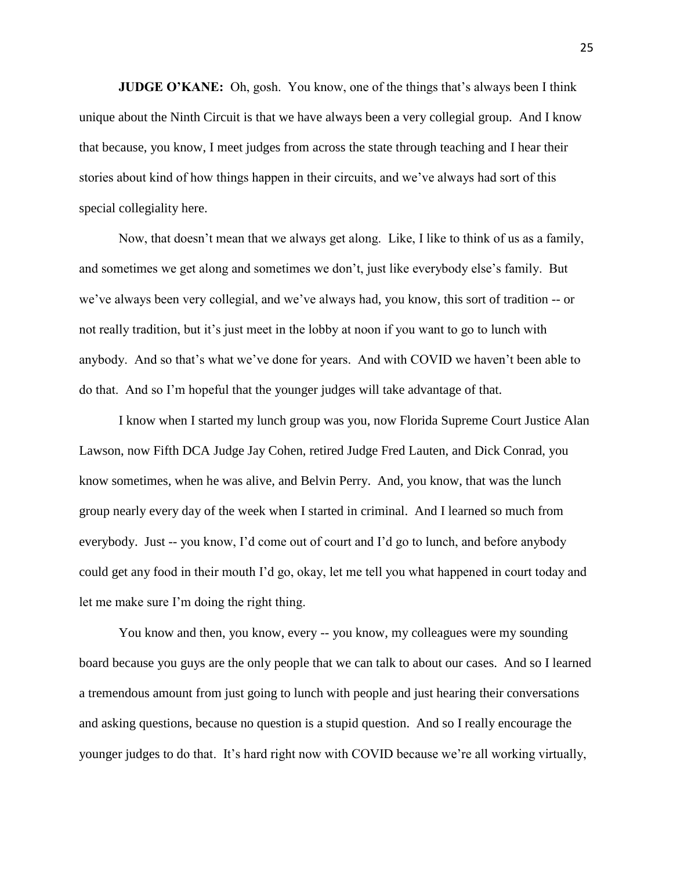**JUDGE O'KANE:** Oh, gosh. You know, one of the things that's always been I think unique about the Ninth Circuit is that we have always been a very collegial group. And I know that because, you know, I meet judges from across the state through teaching and I hear their stories about kind of how things happen in their circuits, and we've always had sort of this special collegiality here.

Now, that doesn't mean that we always get along. Like, I like to think of us as a family, and sometimes we get along and sometimes we don't, just like everybody else's family. But we've always been very collegial, and we've always had, you know, this sort of tradition -- or not really tradition, but it's just meet in the lobby at noon if you want to go to lunch with anybody. And so that's what we've done for years. And with COVID we haven't been able to do that. And so I'm hopeful that the younger judges will take advantage of that.

I know when I started my lunch group was you, now Florida Supreme Court Justice Alan Lawson, now Fifth DCA Judge Jay Cohen, retired Judge Fred Lauten, and Dick Conrad, you know sometimes, when he was alive, and Belvin Perry. And, you know, that was the lunch group nearly every day of the week when I started in criminal. And I learned so much from everybody. Just -- you know, I'd come out of court and I'd go to lunch, and before anybody could get any food in their mouth I'd go, okay, let me tell you what happened in court today and let me make sure I'm doing the right thing.

You know and then, you know, every -- you know, my colleagues were my sounding board because you guys are the only people that we can talk to about our cases. And so I learned a tremendous amount from just going to lunch with people and just hearing their conversations and asking questions, because no question is a stupid question. And so I really encourage the younger judges to do that. It's hard right now with COVID because we're all working virtually,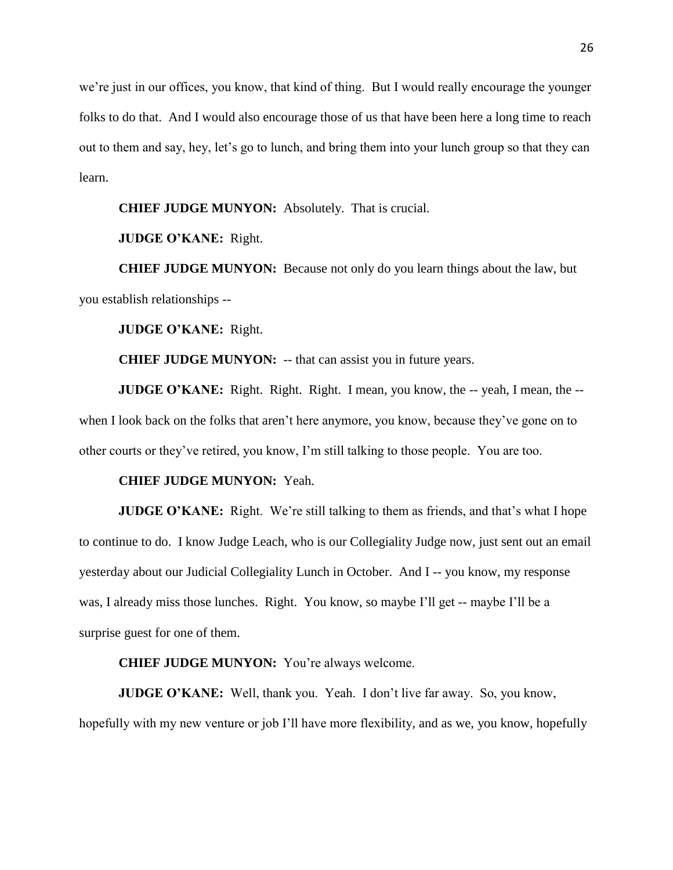we're just in our offices, you know, that kind of thing. But I would really encourage the younger folks to do that. And I would also encourage those of us that have been here a long time to reach out to them and say, hey, let's go to lunch, and bring them into your lunch group so that they can learn.

#### **CHIEF JUDGE MUNYON:** Absolutely. That is crucial.

# **JUDGE O'KANE:** Right.

**CHIEF JUDGE MUNYON:** Because not only do you learn things about the law, but you establish relationships --

### **JUDGE O'KANE:** Right.

**CHIEF JUDGE MUNYON:** -- that can assist you in future years.

**JUDGE O'KANE:** Right. Right. Right. I mean, you know, the -- yeah, I mean, the -when I look back on the folks that aren't here anymore, you know, because they've gone on to other courts or they've retired, you know, I'm still talking to those people. You are too.

#### **CHIEF JUDGE MUNYON:** Yeah.

**JUDGE O'KANE:** Right. We're still talking to them as friends, and that's what I hope to continue to do. I know Judge Leach, who is our Collegiality Judge now, just sent out an email yesterday about our Judicial Collegiality Lunch in October. And I -- you know, my response was, I already miss those lunches. Right. You know, so maybe I'll get -- maybe I'll be a surprise guest for one of them.

### **CHIEF JUDGE MUNYON:** You're always welcome.

**JUDGE O'KANE:** Well, thank you. Yeah. I don't live far away. So, you know, hopefully with my new venture or job I'll have more flexibility, and as we, you know, hopefully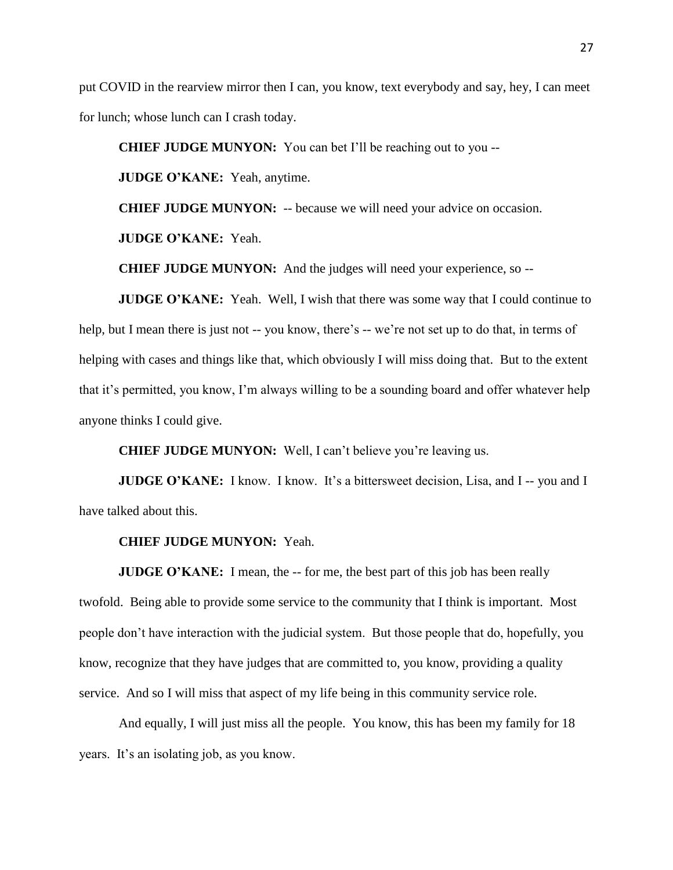put COVID in the rearview mirror then I can, you know, text everybody and say, hey, I can meet for lunch; whose lunch can I crash today.

**CHIEF JUDGE MUNYON:** You can bet I'll be reaching out to you --

**JUDGE O'KANE:** Yeah, anytime.

**CHIEF JUDGE MUNYON:** -- because we will need your advice on occasion.

**JUDGE O'KANE:** Yeah.

**CHIEF JUDGE MUNYON:** And the judges will need your experience, so --

**JUDGE O'KANE:** Yeah. Well, I wish that there was some way that I could continue to help, but I mean there is just not -- you know, there's -- we're not set up to do that, in terms of helping with cases and things like that, which obviously I will miss doing that. But to the extent that it's permitted, you know, I'm always willing to be a sounding board and offer whatever help anyone thinks I could give.

**CHIEF JUDGE MUNYON:** Well, I can't believe you're leaving us.

**JUDGE O'KANE:** I know. I know. It's a bittersweet decision, Lisa, and I -- you and I have talked about this.

#### **CHIEF JUDGE MUNYON:** Yeah.

**JUDGE O'KANE:** I mean, the -- for me, the best part of this job has been really twofold. Being able to provide some service to the community that I think is important. Most people don't have interaction with the judicial system. But those people that do, hopefully, you know, recognize that they have judges that are committed to, you know, providing a quality service. And so I will miss that aspect of my life being in this community service role.

And equally, I will just miss all the people. You know, this has been my family for 18 years. It's an isolating job, as you know.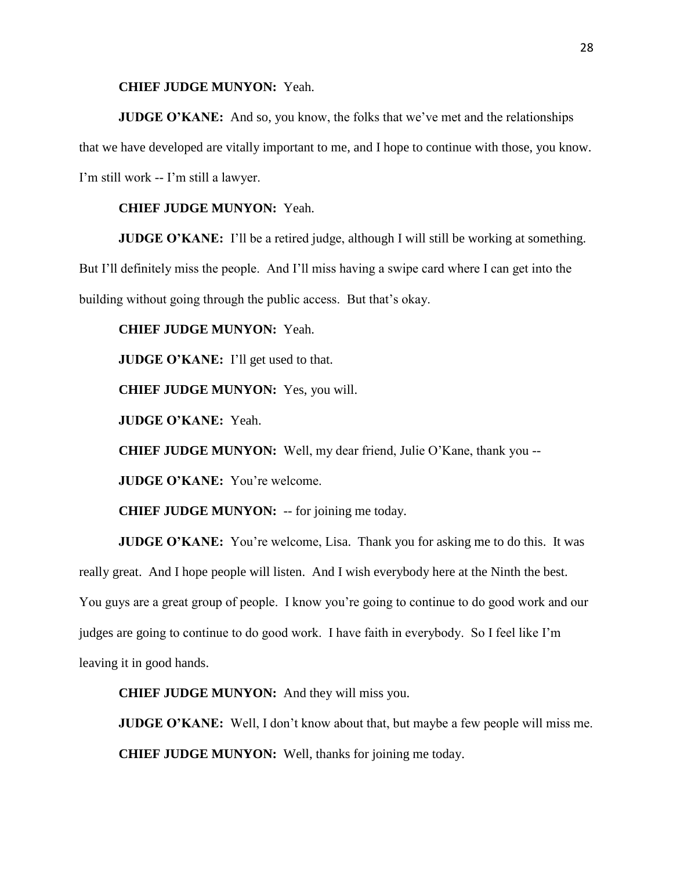#### **CHIEF JUDGE MUNYON:** Yeah.

**JUDGE O'KANE:** And so, you know, the folks that we've met and the relationships that we have developed are vitally important to me, and I hope to continue with those, you know. I'm still work -- I'm still a lawyer.

### **CHIEF JUDGE MUNYON:** Yeah.

**JUDGE O'KANE:** I'll be a retired judge, although I will still be working at something.

But I'll definitely miss the people. And I'll miss having a swipe card where I can get into the building without going through the public access. But that's okay.

### **CHIEF JUDGE MUNYON:** Yeah.

**JUDGE O'KANE:** I'll get used to that.

**CHIEF JUDGE MUNYON:** Yes, you will.

**JUDGE O'KANE:** Yeah.

**CHIEF JUDGE MUNYON:** Well, my dear friend, Julie O'Kane, thank you --

**JUDGE O'KANE:** You're welcome.

**CHIEF JUDGE MUNYON:** -- for joining me today.

**JUDGE O'KANE:** You're welcome, Lisa. Thank you for asking me to do this. It was really great. And I hope people will listen. And I wish everybody here at the Ninth the best. You guys are a great group of people. I know you're going to continue to do good work and our judges are going to continue to do good work. I have faith in everybody. So I feel like I'm leaving it in good hands.

**CHIEF JUDGE MUNYON:** And they will miss you.

**JUDGE O'KANE:** Well, I don't know about that, but maybe a few people will miss me. **CHIEF JUDGE MUNYON:** Well, thanks for joining me today.